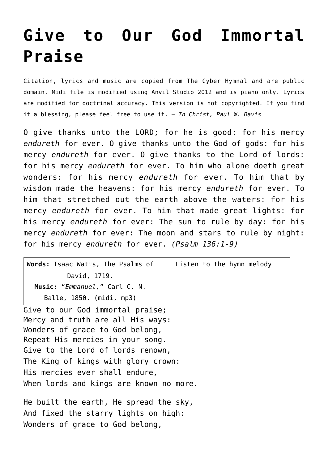## **[Give to Our God Immortal](http://reproachofmen.org/hymns-and-music/give-to-our-god-immortal-praise/) [Praise](http://reproachofmen.org/hymns-and-music/give-to-our-god-immortal-praise/)**

Citation, lyrics and music are copied from [The Cyber Hymnal](http://www.hymntime.com/tch/index.htm) and are public domain. Midi file is modified using Anvil Studio 2012 and is piano only. Lyrics are modified for doctrinal accuracy. This version is not copyrighted. If you find it a blessing, please feel free to use it. — *In Christ, Paul W. Davis*

O give thanks unto the LORD; for he is good: for his mercy *endureth* for ever. O give thanks unto the God of gods: for his mercy *endureth* for ever. O give thanks to the Lord of lords: for his mercy *endureth* for ever. To him who alone doeth great wonders: for his mercy *endureth* for ever. To him that by wisdom made the heavens: for his mercy *endureth* for ever. To him that stretched out the earth above the waters: for his mercy *endureth* for ever. To him that made great lights: for his mercy *endureth* for ever: The sun to rule by day: for his mercy *endureth* for ever: The moon and stars to rule by night: for his mercy *endureth* for ever. *(Psalm 136:1-9)*

| <b>Words:</b> Isaac Watts, The Psalms of $ $ | Listen to the hymn melody |
|----------------------------------------------|---------------------------|
| David, 1719.                                 |                           |
| Music: "Emmanuel," Carl C. N.                |                           |
| Balle, 1850. (midi, mp3)                     |                           |

Give to our God immortal praise; Mercy and truth are all His ways: Wonders of grace to God belong, Repeat His mercies in your song. Give to the Lord of lords renown, The King of kings with glory crown: His mercies ever shall endure, When lords and kings are known no more.

He built the earth, He spread the sky, And fixed the starry lights on high: Wonders of grace to God belong,